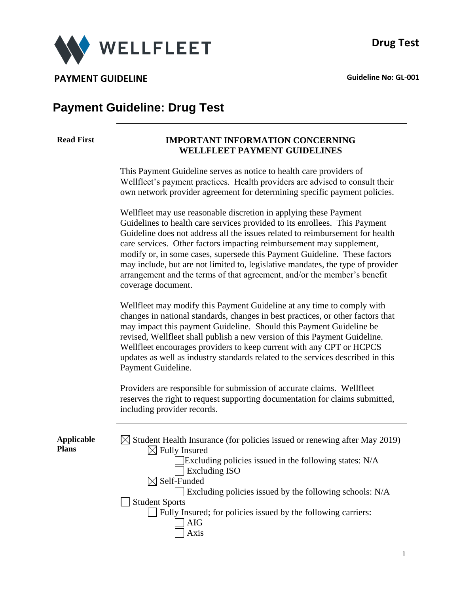



# **Payment Guideline: Drug Test**

#### **Read First IMPORTANT INFORMATION CONCERNING WELLFLEET PAYMENT GUIDELINES**

This Payment Guideline serves as notice to health care providers of Wellfleet's payment practices. Health providers are advised to consult their own network provider agreement for determining specific payment policies.

Wellfleet may use reasonable discretion in applying these Payment Guidelines to health care services provided to its enrollees. This Payment Guideline does not address all the issues related to reimbursement for health care services. Other factors impacting reimbursement may supplement, modify or, in some cases, supersede this Payment Guideline. These factors may include, but are not limited to, legislative mandates, the type of provider arrangement and the terms of that agreement, and/or the member's benefit coverage document.

Wellfleet may modify this Payment Guideline at any time to comply with changes in national standards, changes in best practices, or other factors that may impact this payment Guideline. Should this Payment Guideline be revised, Wellfleet shall publish a new version of this Payment Guideline. Wellfleet encourages providers to keep current with any CPT or HCPCS updates as well as industry standards related to the services described in this Payment Guideline.

Providers are responsible for submission of accurate claims. Wellfleet reserves the right to request supporting documentation for claims submitted, including provider records.

**Applica Plans**

| able | $\boxtimes$ Student Health Insurance (for policies issued or renewing after May 2019)<br>$\boxtimes$ Fully Insured |
|------|--------------------------------------------------------------------------------------------------------------------|
|      | Excluding policies issued in the following states: N/A                                                             |
|      |                                                                                                                    |
|      | <b>Excluding ISO</b>                                                                                               |
|      | $\boxtimes$ Self-Funded                                                                                            |
|      | $\Box$ Excluding policies issued by the following schools: N/A                                                     |
|      | <b>Student Sports</b>                                                                                              |
|      | $\Box$ Fully Insured; for policies issued by the following carriers:                                               |
|      | <b>AIG</b>                                                                                                         |
|      | Axis                                                                                                               |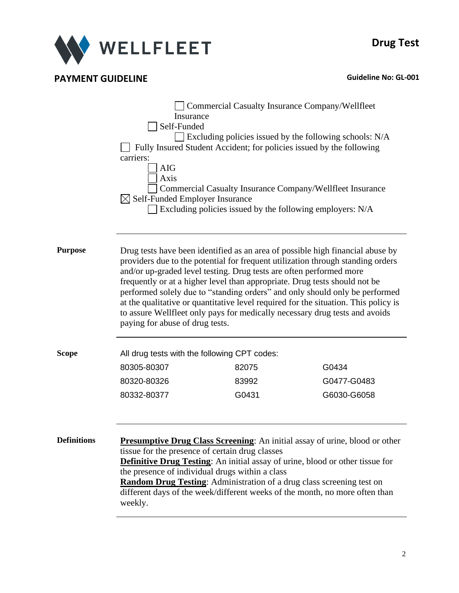

|                    | Insurance<br>Self-Funded<br>carriers:<br><b>AIG</b><br>Axis<br>$\boxtimes$ Self-Funded Employer Insurance                                                                                                                                                                                                                                                                                                                                                                                                                                                                                                      | Commercial Casualty Insurance Company/Wellfleet<br>Fully Insured Student Accident; for policies issued by the following<br>Excluding policies issued by the following employers: N/A | $\Box$ Excluding policies issued by the following schools: N/A<br>Commercial Casualty Insurance Company/Wellfleet Insurance                                                                                                                                                                                                               |  |
|--------------------|----------------------------------------------------------------------------------------------------------------------------------------------------------------------------------------------------------------------------------------------------------------------------------------------------------------------------------------------------------------------------------------------------------------------------------------------------------------------------------------------------------------------------------------------------------------------------------------------------------------|--------------------------------------------------------------------------------------------------------------------------------------------------------------------------------------|-------------------------------------------------------------------------------------------------------------------------------------------------------------------------------------------------------------------------------------------------------------------------------------------------------------------------------------------|--|
| Purpose            | Drug tests have been identified as an area of possible high financial abuse by<br>providers due to the potential for frequent utilization through standing orders<br>and/or up-graded level testing. Drug tests are often performed more<br>frequently or at a higher level than appropriate. Drug tests should not be<br>performed solely due to "standing orders" and only should only be performed<br>at the qualitative or quantitative level required for the situation. This policy is<br>to assure Wellfleet only pays for medically necessary drug tests and avoids<br>paying for abuse of drug tests. |                                                                                                                                                                                      |                                                                                                                                                                                                                                                                                                                                           |  |
| Scope              | All drug tests with the following CPT codes:                                                                                                                                                                                                                                                                                                                                                                                                                                                                                                                                                                   |                                                                                                                                                                                      |                                                                                                                                                                                                                                                                                                                                           |  |
|                    | 80305-80307                                                                                                                                                                                                                                                                                                                                                                                                                                                                                                                                                                                                    | 82075                                                                                                                                                                                | G0434                                                                                                                                                                                                                                                                                                                                     |  |
|                    | 80320-80326                                                                                                                                                                                                                                                                                                                                                                                                                                                                                                                                                                                                    | 83992                                                                                                                                                                                | G0477-G0483                                                                                                                                                                                                                                                                                                                               |  |
|                    | 80332-80377                                                                                                                                                                                                                                                                                                                                                                                                                                                                                                                                                                                                    | G0431                                                                                                                                                                                | G6030-G6058                                                                                                                                                                                                                                                                                                                               |  |
| <b>Definitions</b> | tissue for the presence of certain drug classes<br>weekly.                                                                                                                                                                                                                                                                                                                                                                                                                                                                                                                                                     | the presence of individual drugs within a class                                                                                                                                      | <b>Presumptive Drug Class Screening:</b> An initial assay of urine, blood or other<br><b>Definitive Drug Testing:</b> An initial assay of urine, blood or other tissue for<br><b>Random Drug Testing:</b> Administration of a drug class screening test on<br>different days of the week/different weeks of the month, no more often than |  |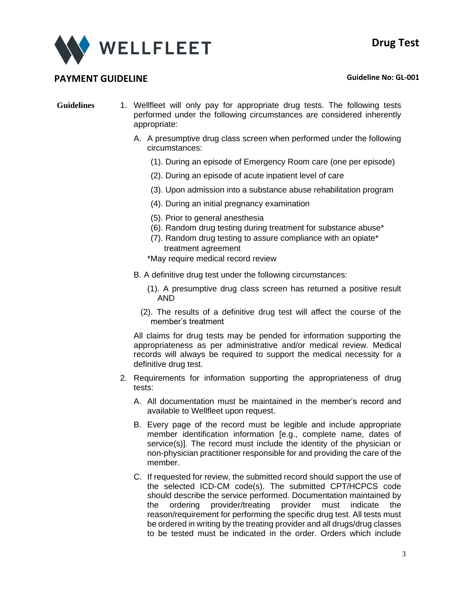

- **Guidelines** 1. Wellfleet will only pay for appropriate drug tests. The following tests performed under the following circumstances are considered inherently appropriate:
	- A. A presumptive drug class screen when performed under the following circumstances:
		- (1). During an episode of Emergency Room care (one per episode)
		- (2). During an episode of acute inpatient level of care
		- (3). Upon admission into a substance abuse rehabilitation program
		- (4). During an initial pregnancy examination
		- (5). Prior to general anesthesia
		- (6). Random drug testing during treatment for substance abuse\*
		- (7). Random drug testing to assure compliance with an opiate\* treatment agreement
		- \*May require medical record review
	- B. A definitive drug test under the following circumstances:
		- (1). A presumptive drug class screen has returned a positive result AND
		- (2). The results of a definitive drug test will affect the course of the member's treatment

All claims for drug tests may be pended for information supporting the appropriateness as per administrative and/or medical review. Medical records will always be required to support the medical necessity for a definitive drug test.

- 2. Requirements for information supporting the appropriateness of drug tests:
	- A. All documentation must be maintained in the member's record and available to Wellfleet upon request.
	- B. Every page of the record must be legible and include appropriate member identification information [e.g., complete name, dates of service(s)]. The record must include the identity of the physician or non-physician practitioner responsible for and providing the care of the member.
	- C. If requested for review, the submitted record should support the use of the selected ICD-CM code(s). The submitted CPT/HCPCS code should describe the service performed. Documentation maintained by the ordering provider/treating provider must indicate the reason/requirement for performing the specific drug test. All tests must be ordered in writing by the treating provider and all drugs/drug classes to be tested must be indicated in the order. Orders which include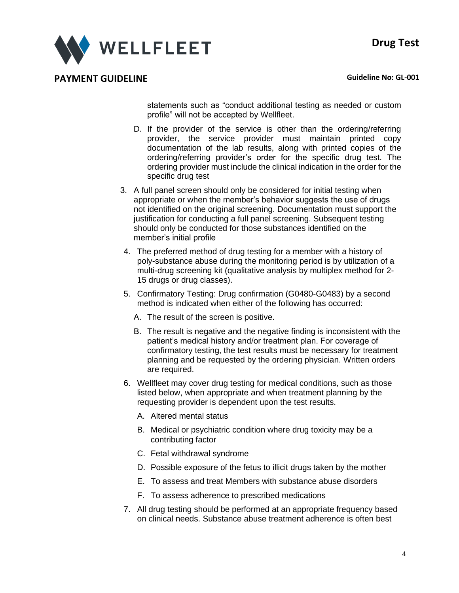

statements such as "conduct additional testing as needed or custom profile" will not be accepted by Wellfleet.

- D. If the provider of the service is other than the ordering/referring provider, the service provider must maintain printed copy documentation of the lab results, along with printed copies of the ordering/referring provider's order for the specific drug test. The ordering provider must include the clinical indication in the order for the specific drug test
- 3. A full panel screen should only be considered for initial testing when appropriate or when the member's behavior suggests the use of drugs not identified on the original screening. Documentation must support the justification for conducting a full panel screening. Subsequent testing should only be conducted for those substances identified on the member's initial profile
- 4. The preferred method of drug testing for a member with a history of poly-substance abuse during the monitoring period is by utilization of a multi-drug screening kit (qualitative analysis by multiplex method for 2- 15 drugs or drug classes).
- 5. Confirmatory Testing: Drug confirmation (G0480-G0483) by a second method is indicated when either of the following has occurred:
	- A. The result of the screen is positive.
	- B. The result is negative and the negative finding is inconsistent with the patient's medical history and/or treatment plan. For coverage of confirmatory testing, the test results must be necessary for treatment planning and be requested by the ordering physician. Written orders are required.
- 6. Wellfleet may cover drug testing for medical conditions, such as those listed below, when appropriate and when treatment planning by the requesting provider is dependent upon the test results.
	- A. Altered mental status
	- B. Medical or psychiatric condition where drug toxicity may be a contributing factor
	- C. Fetal withdrawal syndrome
	- D. Possible exposure of the fetus to illicit drugs taken by the mother
	- E. To assess and treat Members with substance abuse disorders
	- F. To assess adherence to prescribed medications
- 7. All drug testing should be performed at an appropriate frequency based on clinical needs. Substance abuse treatment adherence is often best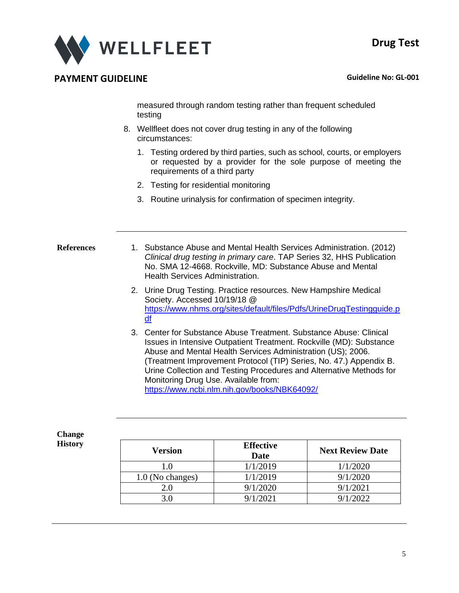

measured through random testing rather than frequent scheduled testing

- 8. Wellfleet does not cover drug testing in any of the following circumstances:
	- 1. Testing ordered by third parties, such as school, courts, or employers or requested by a provider for the sole purpose of meeting the requirements of a third party
	- 2. Testing for residential monitoring
	- 3. Routine urinalysis for confirmation of specimen integrity.

- **References** 1. Substance Abuse and Mental Health Services Administration. (2012) *Clinical drug testing in primary care*. TAP Series 32, HHS Publication No. SMA 12-4668. Rockville, MD: Substance Abuse and Mental Health Services Administration.
	- 2. Urine Drug Testing. Practice resources. New Hampshire Medical Society. Accessed 10/19/18 @ [https://www.nhms.org/sites/default/files/Pdfs/UrineDrugTestingguide.p](https://www.nhms.org/sites/default/files/Pdfs/UrineDrugTestingguide.pdf) [df](https://www.nhms.org/sites/default/files/Pdfs/UrineDrugTestingguide.pdf)
	- 3. Center for Substance Abuse Treatment. Substance Abuse: Clinical Issues in Intensive Outpatient Treatment. Rockville (MD): Substance Abuse and Mental Health Services Administration (US); 2006. (Treatment Improvement Protocol (TIP) Series, No. 47.) Appendix B. Urine Collection and Testing Procedures and Alternative Methods for Monitoring Drug Use. Available from: <https://www.ncbi.nlm.nih.gov/books/NBK64092/>

**Change History**

| <b>Version</b>   | <b>Effective</b><br>Date | <b>Next Review Date</b> |
|------------------|--------------------------|-------------------------|
| 1.0              | 1/1/2019                 | 1/1/2020                |
| 1.0 (No changes) | 1/1/2019                 | 9/1/2020                |
| 2.0              | 9/1/2020                 | 9/1/2021                |
|                  | 9/1/2021                 | 1/2022                  |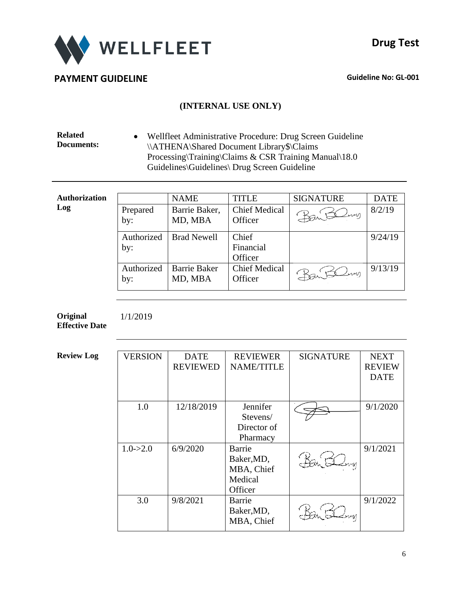

### **(INTERNAL USE ONLY)**

**Related Documents:** • Wellfleet Administrative Procedure: Drug Screen Guideline \\ATHENA\Shared Document Library\$\Claims Processing\Training\Claims & CSR Training Manual\18.0 Guidelines\Guidelines\ Drug Screen Guideline

| <b>Authorization</b> |            | <b>NAME</b>         | <b>TITLE</b>         | <b>SIGNATURE</b> | <b>DATE</b> |
|----------------------|------------|---------------------|----------------------|------------------|-------------|
| Log                  | Prepared   | Barrie Baker,       | <b>Chief Medical</b> | Dan Blow         | 8/2/19      |
|                      | by:        | MD, MBA             | Officer              |                  |             |
|                      | Authorized | <b>Brad Newell</b>  | Chief                |                  | 9/24/19     |
|                      | by:        |                     | Financial            |                  |             |
|                      |            |                     | Officer              |                  |             |
|                      | Authorized | <b>Barrie Baker</b> | <b>Chief Medical</b> | Baiteling        | 9/13/19     |
|                      | by:        | MD, MBA             | Officer              |                  |             |
|                      |            |                     |                      |                  |             |

**Original Effective Date** 1/1/2019

| <b>Review Log</b> | <b>VERSION</b> | <b>DATE</b><br><b>REVIEWED</b> | <b>REVIEWER</b><br><b>NAME/TITLE</b>                     | <b>SIGNATURE</b> | <b>NEXT</b><br><b>REVIEW</b><br><b>DATE</b> |
|-------------------|----------------|--------------------------------|----------------------------------------------------------|------------------|---------------------------------------------|
|                   | 1.0            | 12/18/2019                     | Jennifer<br>Stevens/<br>Director of<br>Pharmacy          |                  | 9/1/2020                                    |
|                   | $1.0 - > 2.0$  | 6/9/2020                       | Barrie<br>Baker, MD,<br>MBA, Chief<br>Medical<br>Officer | nun              | 9/1/2021                                    |
|                   | 3.0            | 9/8/2021                       | Barrie<br>Baker, MD,<br>MBA, Chief                       |                  | 9/1/2022                                    |